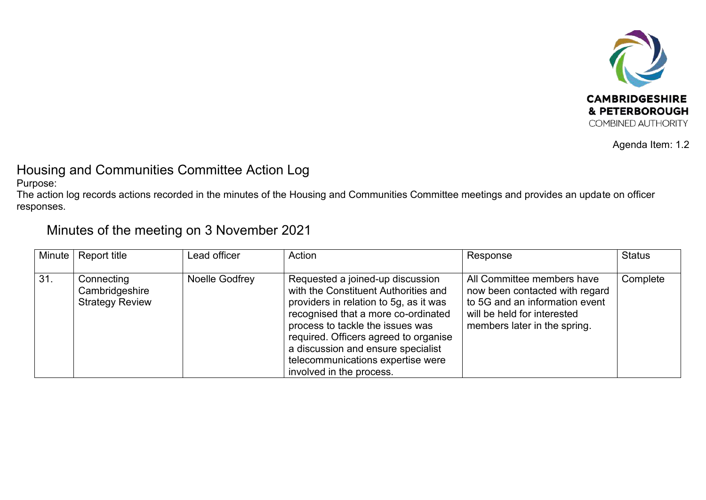

Agenda Item: 1.2

## Housing and Communities Committee Action Log

Purpose:

The action log records actions recorded in the minutes of the Housing and Communities Committee meetings and provides an update on officer responses.

## Minutes of the meeting on 3 November 2021

| Minute | <b>Report title</b>                                    | Lead officer   | Action                                                                                                                                                                                                                                                                                                                                        | Response                                                                                                                                                      | <b>Status</b> |
|--------|--------------------------------------------------------|----------------|-----------------------------------------------------------------------------------------------------------------------------------------------------------------------------------------------------------------------------------------------------------------------------------------------------------------------------------------------|---------------------------------------------------------------------------------------------------------------------------------------------------------------|---------------|
| 31.    | Connecting<br>Cambridgeshire<br><b>Strategy Review</b> | Noelle Godfrey | Requested a joined-up discussion<br>with the Constituent Authorities and<br>providers in relation to 5g, as it was<br>recognised that a more co-ordinated<br>process to tackle the issues was<br>required. Officers agreed to organise<br>a discussion and ensure specialist<br>telecommunications expertise were<br>involved in the process. | All Committee members have<br>now been contacted with regard<br>to 5G and an information event<br>will be held for interested<br>members later in the spring. | Complete      |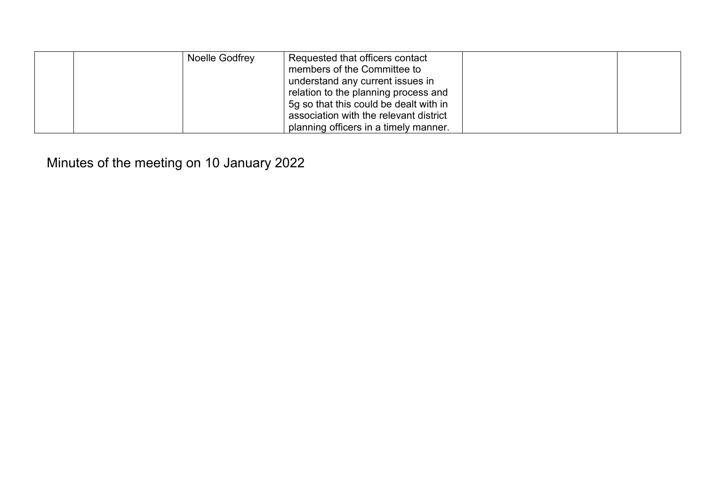| Noelle Godfrey | Requested that officers contact<br>members of the Committee to<br>understand any current issues in<br>relation to the planning process and<br>5g so that this could be dealt with in |  |
|----------------|--------------------------------------------------------------------------------------------------------------------------------------------------------------------------------------|--|
|                | association with the relevant district<br>planning officers in a timely manner.                                                                                                      |  |

Minutes of the meeting on 10 January 2022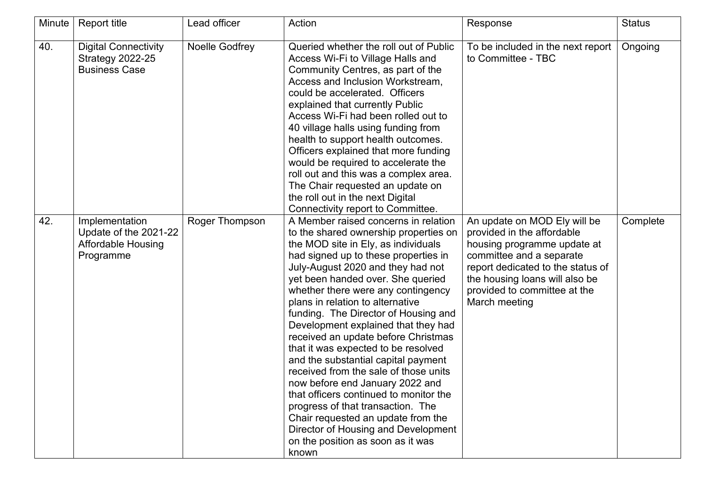| Minute | <b>Report title</b>                                                               | Lead officer   | Action                                                                                                                                                                                                                                                                                                                                                                                                                                                                                                                                                                                                                                                                                                                                                                                                     | Response                                                                                                                                                                                                                                      | <b>Status</b> |
|--------|-----------------------------------------------------------------------------------|----------------|------------------------------------------------------------------------------------------------------------------------------------------------------------------------------------------------------------------------------------------------------------------------------------------------------------------------------------------------------------------------------------------------------------------------------------------------------------------------------------------------------------------------------------------------------------------------------------------------------------------------------------------------------------------------------------------------------------------------------------------------------------------------------------------------------------|-----------------------------------------------------------------------------------------------------------------------------------------------------------------------------------------------------------------------------------------------|---------------|
| 40.    | <b>Digital Connectivity</b><br><b>Strategy 2022-25</b><br><b>Business Case</b>    | Noelle Godfrey | Queried whether the roll out of Public<br>Access Wi-Fi to Village Halls and<br>Community Centres, as part of the<br>Access and Inclusion Workstream,<br>could be accelerated. Officers<br>explained that currently Public<br>Access Wi-Fi had been rolled out to<br>40 village halls using funding from<br>health to support health outcomes.<br>Officers explained that more funding<br>would be required to accelerate the<br>roll out and this was a complex area.<br>The Chair requested an update on<br>the roll out in the next Digital<br>Connectivity report to Committee.                                                                                                                                                                                                                         | To be included in the next report<br>to Committee - TBC                                                                                                                                                                                       | Ongoing       |
| 42.    | Implementation<br>Update of the 2021-22<br><b>Affordable Housing</b><br>Programme | Roger Thompson | A Member raised concerns in relation<br>to the shared ownership properties on<br>the MOD site in Ely, as individuals<br>had signed up to these properties in<br>July-August 2020 and they had not<br>yet been handed over. She queried<br>whether there were any contingency<br>plans in relation to alternative<br>funding. The Director of Housing and<br>Development explained that they had<br>received an update before Christmas<br>that it was expected to be resolved<br>and the substantial capital payment<br>received from the sale of those units<br>now before end January 2022 and<br>that officers continued to monitor the<br>progress of that transaction. The<br>Chair requested an update from the<br>Director of Housing and Development<br>on the position as soon as it was<br>known | An update on MOD Ely will be<br>provided in the affordable<br>housing programme update at<br>committee and a separate<br>report dedicated to the status of<br>the housing loans will also be<br>provided to committee at the<br>March meeting | Complete      |